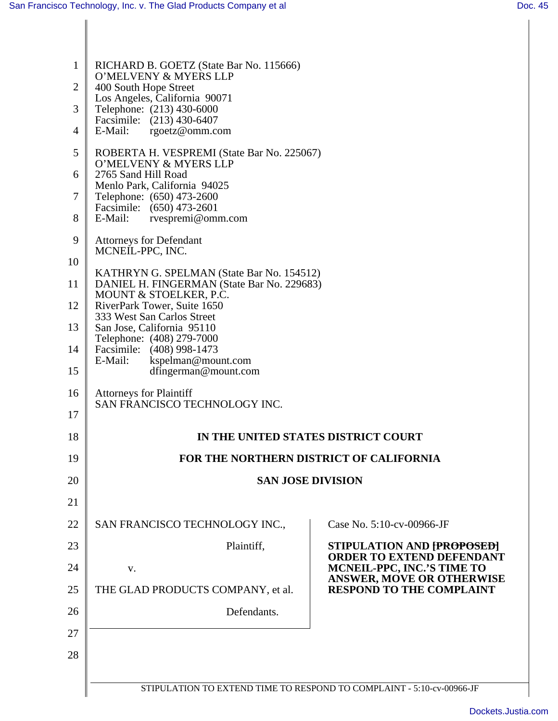| $\mathbf{1}$   | RICHARD B. GOETZ (State Bar No. 115666)                                         |                                                                       |  |  |
|----------------|---------------------------------------------------------------------------------|-----------------------------------------------------------------------|--|--|
| $\overline{2}$ | O'MELVENY & MYERS LLP<br>400 South Hope Street<br>Los Angeles, California 90071 |                                                                       |  |  |
| 3              |                                                                                 |                                                                       |  |  |
|                | Telephone: (213) 430-6000<br>Facsimile: (213) 430-6407                          |                                                                       |  |  |
| 4              | E-Mail:<br>rgoetz@omm.com                                                       |                                                                       |  |  |
| 5              | ROBERTA H. VESPREMI (State Bar No. 225067)<br>O'MELVENY & MYERS LLP             |                                                                       |  |  |
| 6              | 2765 Sand Hill Road<br>Menlo Park, California 94025                             |                                                                       |  |  |
| 7              | Telephone: (650) 473-2600<br>Facsimile: (650) 473-2601                          |                                                                       |  |  |
| 8              | E-Mail:<br>rvespremi@omm.com                                                    |                                                                       |  |  |
| 9              | <b>Attorneys for Defendant</b><br>MCNEIL-PPC, INC.                              |                                                                       |  |  |
| 10             | KATHRYN G. SPELMAN (State Bar No. 154512)                                       |                                                                       |  |  |
| 11             | DANIEL H. FINGERMAN (State Bar No. 229683)<br>MOUNT & STOELKER, P.C.            |                                                                       |  |  |
| 12             | RiverPark Tower, Suite 1650<br>333 West San Carlos Street                       |                                                                       |  |  |
| 13             | San Jose, California 95110                                                      |                                                                       |  |  |
| 14             | Telephone: (408) 279-7000<br>Facsimile: (408) 998-1473                          |                                                                       |  |  |
| 15             | E-Mail:<br>kspelman@mount.com<br>dfingerman@mount.com                           |                                                                       |  |  |
| 16             | <b>Attorneys for Plaintiff</b>                                                  |                                                                       |  |  |
| 17             | SAN FRANCISCO TECHNOLOGY INC.                                                   |                                                                       |  |  |
| 18             | IN THE UNITED STATES DISTRICT COURT                                             |                                                                       |  |  |
| 19             | FOR THE NORTHERN DISTRICT OF CALIFORNIA                                         |                                                                       |  |  |
| 20             | <b>SAN JOSE DIVISION</b>                                                        |                                                                       |  |  |
| 21             |                                                                                 |                                                                       |  |  |
| 22             | SAN FRANCISCO TECHNOLOGY INC.,                                                  | Case No. 5:10-cv-00966-JF                                             |  |  |
| 23             | Plaintiff,                                                                      | <b>STIPULATION AND [PROPOSED]</b>                                     |  |  |
| 24             | V.                                                                              | <b>ORDER TO EXTEND DEFENDANT</b><br><b>MCNEIL-PPC, INC.'S TIME TO</b> |  |  |
| 25             | THE GLAD PRODUCTS COMPANY, et al.                                               | <b>ANSWER, MOVE OR OTHERWISE</b><br><b>RESPOND TO THE COMPLAINT</b>   |  |  |
| 26             | Defendants.                                                                     |                                                                       |  |  |
| 27             |                                                                                 |                                                                       |  |  |
| 28             |                                                                                 |                                                                       |  |  |
|                |                                                                                 |                                                                       |  |  |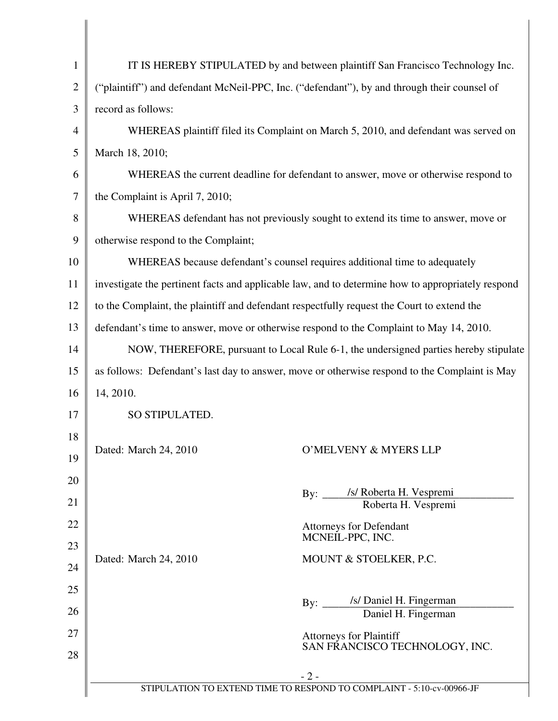| $\mathbf{1}$   | IT IS HEREBY STIPULATED by and between plaintiff San Francisco Technology Inc.                    |  |  |
|----------------|---------------------------------------------------------------------------------------------------|--|--|
| $\overline{2}$ | ("plaintiff") and defendant McNeil-PPC, Inc. ("defendant"), by and through their counsel of       |  |  |
| 3              | record as follows:                                                                                |  |  |
| 4              | WHEREAS plaintiff filed its Complaint on March 5, 2010, and defendant was served on               |  |  |
| 5              | March 18, 2010;                                                                                   |  |  |
| 6              | WHEREAS the current deadline for defendant to answer, move or otherwise respond to                |  |  |
| 7              | the Complaint is April 7, 2010;                                                                   |  |  |
| 8              | WHEREAS defendant has not previously sought to extend its time to answer, move or                 |  |  |
| 9              | otherwise respond to the Complaint;                                                               |  |  |
| 10             | WHEREAS because defendant's counsel requires additional time to adequately                        |  |  |
| 11             | investigate the pertinent facts and applicable law, and to determine how to appropriately respond |  |  |
| 12             | to the Complaint, the plaintiff and defendant respectfully request the Court to extend the        |  |  |
| 13             | defendant's time to answer, move or otherwise respond to the Complaint to May 14, 2010.           |  |  |
| 14             | NOW, THEREFORE, pursuant to Local Rule 6-1, the undersigned parties hereby stipulate              |  |  |
| 15             | as follows: Defendant's last day to answer, move or otherwise respond to the Complaint is May     |  |  |
| 16             | 14, 2010.                                                                                         |  |  |
| 17             | SO STIPULATED.                                                                                    |  |  |
| 18             |                                                                                                   |  |  |
| 19             | Dated: March 24, 2010<br>O'MELVENY & MYERS LLP                                                    |  |  |
| 20             |                                                                                                   |  |  |
| 21             | By: /s/ Roberta H. Vespremi<br>Roberta H. Vespremi                                                |  |  |
| 22             | <b>Attorneys for Defendant</b>                                                                    |  |  |
| 23             | MCNEIL-PPC, INC.                                                                                  |  |  |
| 24             | Dated: March 24, 2010<br>MOUNT & STOELKER, P.C.                                                   |  |  |
| 25             |                                                                                                   |  |  |
| 26             | By: /s/ Daniel H. Fingerman<br>Daniel H. Fingerman                                                |  |  |
| 27             | <b>Attorneys for Plaintiff</b>                                                                    |  |  |
| 28             | SAN FRANCISCO TECHNOLOGY, INC.                                                                    |  |  |
|                | $-2-$                                                                                             |  |  |
|                | STIPULATION TO EXTEND TIME TO RESPOND TO COMPLAINT - 5:10-cv-00966-JF                             |  |  |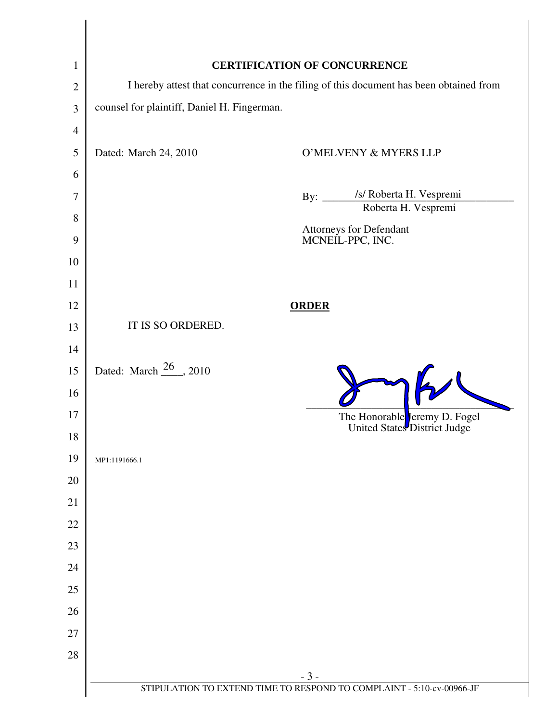| $\mathbf{1}$   |                                                                                        | <b>CERTIFICATION OF CONCURRENCE</b>                                            |
|----------------|----------------------------------------------------------------------------------------|--------------------------------------------------------------------------------|
| $\overline{2}$ | I hereby attest that concurrence in the filing of this document has been obtained from |                                                                                |
| $\mathfrak{Z}$ | counsel for plaintiff, Daniel H. Fingerman.                                            |                                                                                |
| 4              |                                                                                        |                                                                                |
| 5              | Dated: March 24, 2010                                                                  | O'MELVENY & MYERS LLP                                                          |
| 6              |                                                                                        |                                                                                |
| 7              |                                                                                        | /s/ Roberta H. Vespremi<br>By: $\frac{\ }{2}$                                  |
| 8              |                                                                                        | Roberta H. Vespremi                                                            |
| 9              |                                                                                        | Attorneys for Defendant<br>MCNEIL-PPC, INC.                                    |
| 10             |                                                                                        |                                                                                |
| 11             |                                                                                        |                                                                                |
| 12             |                                                                                        | <b>ORDER</b>                                                                   |
| 13             | IT IS SO ORDERED.                                                                      |                                                                                |
| 14             |                                                                                        |                                                                                |
| 15             | Dated: March $\frac{26}{10}$ , 2010                                                    |                                                                                |
| 16             |                                                                                        |                                                                                |
| 17             |                                                                                        | The Honorable Jeremy D. Fogel                                                  |
| 18             |                                                                                        | United States District Judge                                                   |
| 19             | MP1:1191666.1                                                                          |                                                                                |
| 20             |                                                                                        |                                                                                |
| 21             |                                                                                        |                                                                                |
| 22             |                                                                                        |                                                                                |
| 23             |                                                                                        |                                                                                |
| 24             |                                                                                        |                                                                                |
| 25             |                                                                                        |                                                                                |
| 26             |                                                                                        |                                                                                |
| 27             |                                                                                        |                                                                                |
| 28             |                                                                                        |                                                                                |
|                |                                                                                        | $-3-$<br>STIPULATION TO EXTEND TIME TO RESPOND TO COMPLAINT - 5:10-cv-00966-JF |